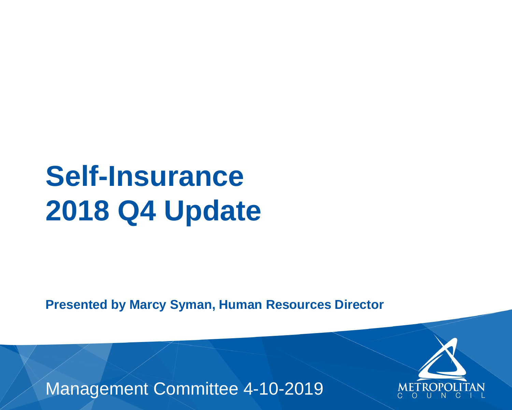## **Self-Insurance 2018 Q4 Update**

**Presented by Marcy Syman, Human Resources Director**

## Management Committee 4-10-2019



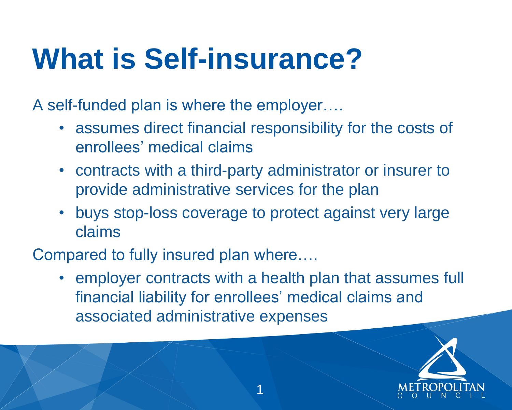A self-funded plan is where the employer….

- assumes direct financial responsibility for the costs of enrollees' medical claims
- contracts with a third-party administrator or insurer to provide administrative services for the plan
- buys stop-loss coverage to protect against very large claims

Compared to fully insured plan where….

• employer contracts with a health plan that assumes full financial liability for enrollees' medical claims and associated administrative expenses

# **What is Self-insurance?**

1



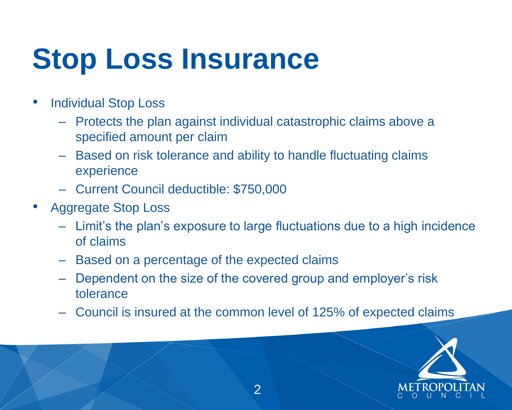- **Individual Stop Loss** 
	- Protects the plan against individual catastrophic claims above a specified amount per claim
	- Based on risk tolerance and ability to handle fluctuating claims experience
	- Current Council deductible: \$750,000
- Aggregate Stop Loss
	- Limit's the plan's exposure to large fluctuations due to a high incidence of claims
	- Based on a percentage of the expected claims
	- Dependent on the size of the covered group and employer's risk tolerance
	- Council is insured at the common level of 125% of expected claims

# **Stop Loss Insurance**

2



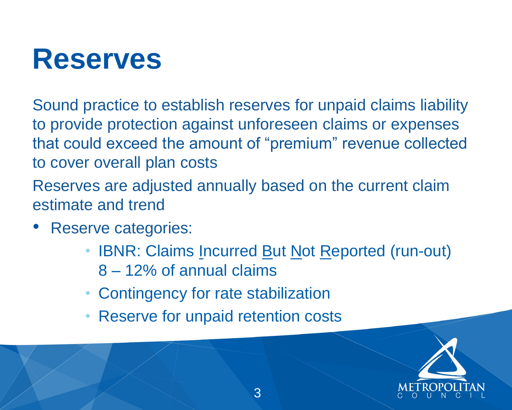Sound practice to establish reserves for unpaid claims liability to provide protection against unforeseen claims or expenses that could exceed the amount of "premium" revenue collected to cover overall plan costs

- Reserve categories:
	- IBNR: Claims Incurred But Not Reported (run-out) 8 – 12% of annual claims
	- Contingency for rate stabilization
	- Reserve for unpaid retention costs

Reserves are adjusted annually based on the current claim estimate and trend



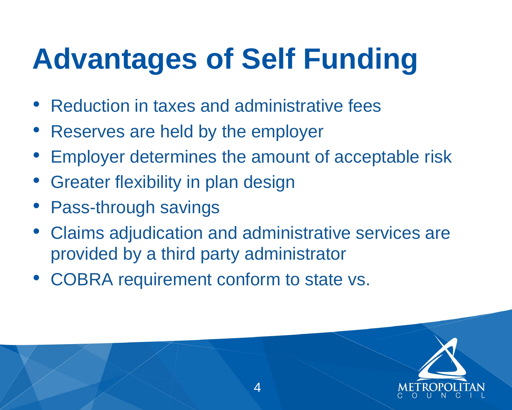- Reduction in taxes and administrative fees
- Reserves are held by the employer
- Employer determines the amount of acceptable risk
- Greater flexibility in plan design
- Pass-through savings
- Claims adjudication and administrative services are provided by a third party administrator
- COBRA requirement conform to state vs.

# **Advantages of Self Funding**

4





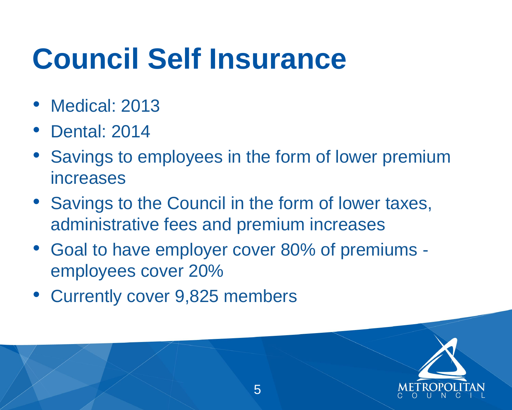- Medical: 2013
- Dental: 2014
- Savings to employees in the form of lower premium increases
- Savings to the Council in the form of lower taxes, administrative fees and premium increases
- Goal to have employer cover 80% of premiums employees cover 20%
- Currently cover 9,825 members

# **Council Self Insurance**



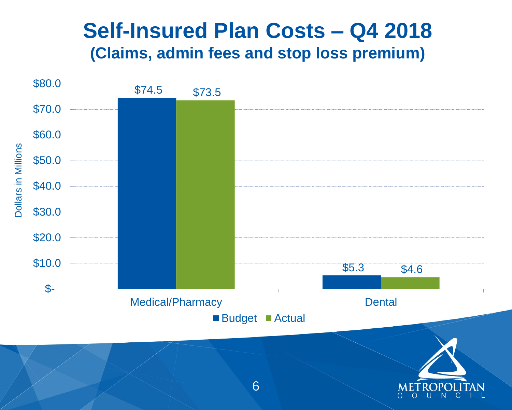

## **Self-Insured Plan Costs – Q4 2018 (Claims, admin fees and stop loss premium)**



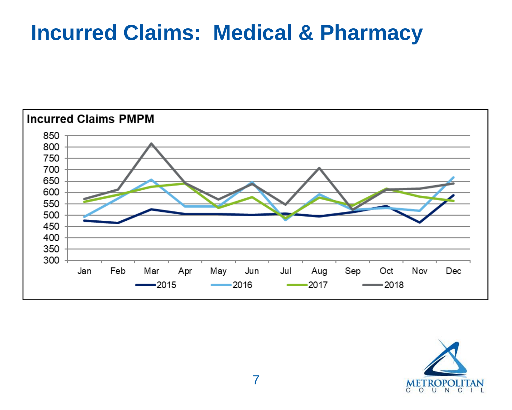## **Incurred Claims: Medical & Pharmacy**





| Oct<br>2018 | Nov | Dec |  |
|-------------|-----|-----|--|

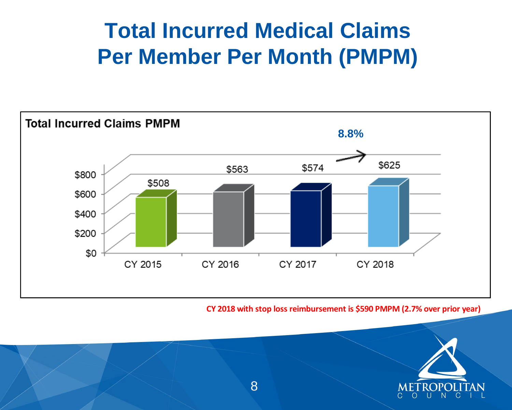## **Total Incurred Medical Claims Per Member Per Month (PMPM)**





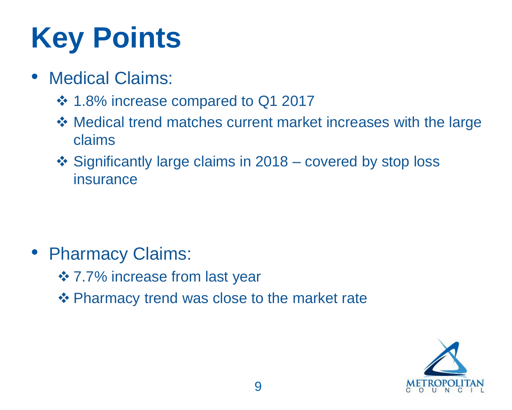# **Key Points**

- Medical Claims:
	- ❖ 1.8% increase compared to Q1 2017
	- ❖ Medical trend matches current market increases with the large claims
	- ❖ Significantly large claims in 2018 covered by stop loss insurance

• Pharmacy Claims: ❖ 7.7% increase from last year ❖ Pharmacy trend was close to the market rate



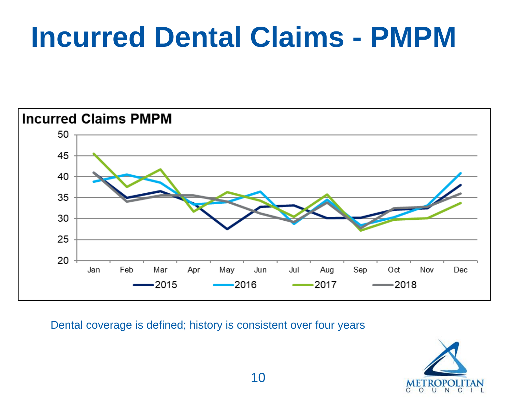## **Incurred Dental Claims - PMPM**





|    |                | Ø   |     |  |
|----|----------------|-----|-----|--|
| эp | Oct<br>$-2018$ | Nov | Dec |  |





Dental coverage is defined; history is consistent over four years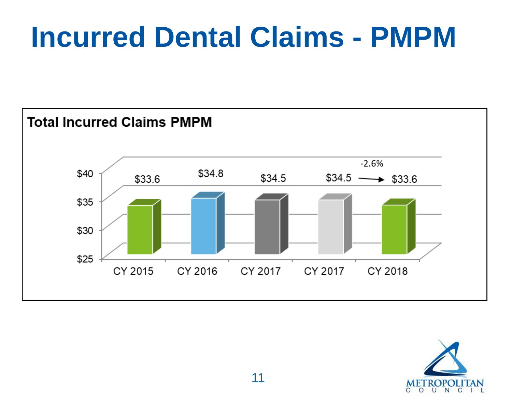## **Incurred Dental Claims - PMPM**





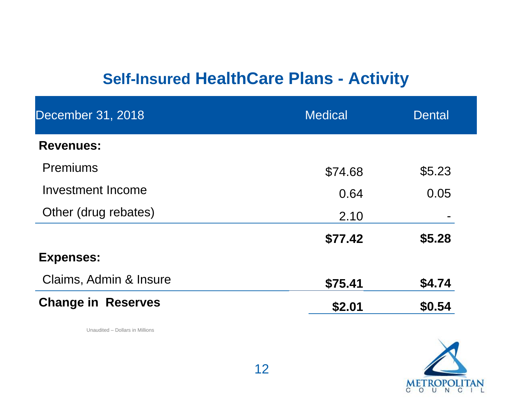## **Self-Insured HealthCare Plans - Activity**

Unaudited – Dollars in Millions





| December 31, 2018         | <b>Medical</b> | <b>Dental</b> |
|---------------------------|----------------|---------------|
| <b>Revenues:</b>          |                |               |
| <b>Premiums</b>           | \$74.68        | \$5.23        |
| Investment Income         | 0.64           | 0.05          |
| Other (drug rebates)      | 2.10           |               |
|                           | \$77.42        | \$5.28        |
| <b>Expenses:</b>          |                |               |
| Claims, Admin & Insure    | \$75.41        | \$4.74        |
| <b>Change in Reserves</b> | \$2.01         | \$0.54        |

- 
- **\$77.42 \$5.28**

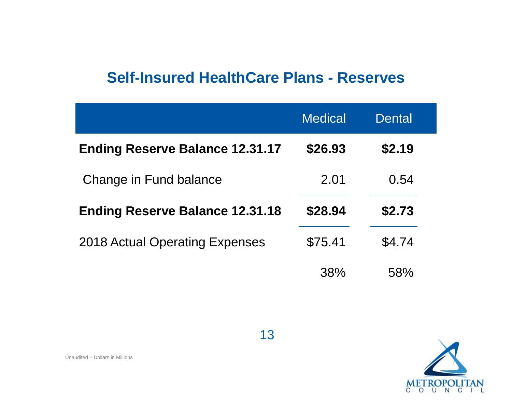## **Self-Insured HealthCare Plans - Reserves**

- **Ending Reserve Balance 12.31.17 \$26.93 \$2.19** 
	-
- **Ending Reserve Balance 12.31.18 \$28.94 \$2.73**
- $$4.74$

Unaudited – Dollars in Millions

## Dental

|                                        | <b>Medical</b> | <b>Dental</b> |
|----------------------------------------|----------------|---------------|
| <b>Ending Reserve Balance 12.31.17</b> | \$26.93        | \$2.19        |
| Change in Fund balance                 | 2.01           | 0.54          |
| <b>Ending Reserve Balance 12.31.18</b> | \$28.94        | \$2.73        |
| <b>2018 Actual Operating Expenses</b>  | \$75.41        | \$4.74        |
|                                        | 38%            | 58%           |

## 38% 58%

![](_page_13_Picture_10.jpeg)